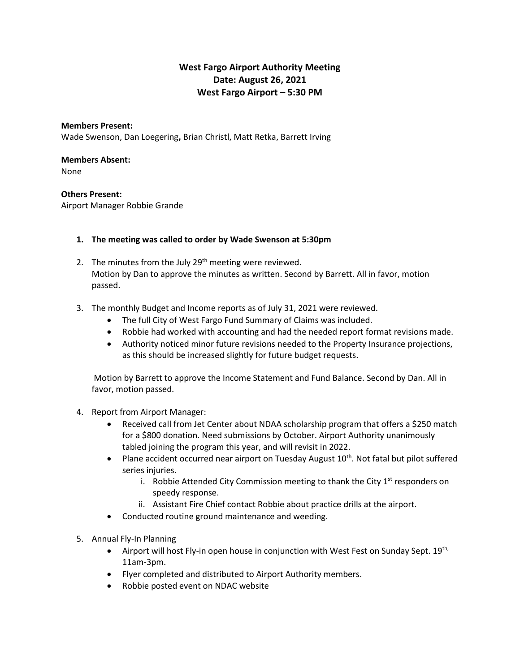# **West Fargo Airport Authority Meeting Date: August 26, 2021 West Fargo Airport – 5:30 PM**

#### **Members Present:**

Wade Swenson, Dan Loegering**,** Brian Christl, Matt Retka, Barrett Irving

#### **Members Absent:**

None

## **Others Present:**

Airport Manager Robbie Grande

## **1. The meeting was called to order by Wade Swenson at 5:30pm**

- 2. The minutes from the July 29<sup>th</sup> meeting were reviewed. Motion by Dan to approve the minutes as written. Second by Barrett. All in favor, motion passed.
- 3. The monthly Budget and Income reports as of July 31, 2021 were reviewed.
	- The full City of West Fargo Fund Summary of Claims was included.
	- Robbie had worked with accounting and had the needed report format revisions made.
	- Authority noticed minor future revisions needed to the Property Insurance projections, as this should be increased slightly for future budget requests.

Motion by Barrett to approve the Income Statement and Fund Balance. Second by Dan. All in favor, motion passed.

### 4. Report from Airport Manager:

- Received call from Jet Center about NDAA scholarship program that offers a \$250 match for a \$800 donation. Need submissions by October. Airport Authority unanimously tabled joining the program this year, and will revisit in 2022.
- Plane accident occurred near airport on Tuesday August  $10<sup>th</sup>$ . Not fatal but pilot suffered series injuries.
	- i. Robbie Attended City Commission meeting to thank the City  $1<sup>st</sup>$  responders on speedy response.
	- ii. Assistant Fire Chief contact Robbie about practice drills at the airport.
- Conducted routine ground maintenance and weeding.
- 5. Annual Fly-In Planning
	- Airport will host Fly-in open house in conjunction with West Fest on Sunday Sept.  $19^{th}$ , 11am-3pm.
	- Flyer completed and distributed to Airport Authority members.
	- Robbie posted event on NDAC website